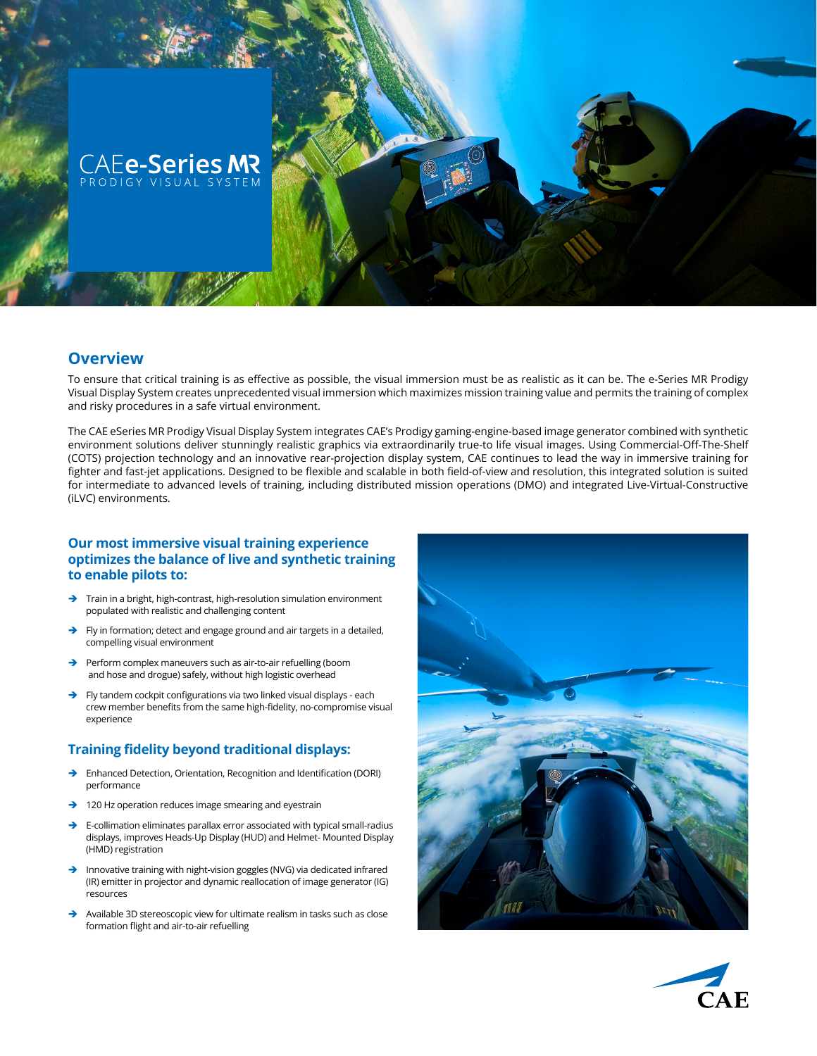

## **Overview**

To ensure that critical training is as effective as possible, the visual immersion must be as realistic as it can be. The e-Series MR Prodigy Visual Display System creates unprecedented visual immersion which maximizes mission training value and permits the training of complex and risky procedures in a safe virtual environment.

The CAE eSeries MR Prodigy Visual Display System integrates CAE's Prodigy gaming-engine-based image generator combined with synthetic environment solutions deliver stunningly realistic graphics via extraordinarily true-to life visual images. Using Commercial-Off-The-Shelf (COTS) projection technology and an innovative rear-projection display system, CAE continues to lead the way in immersive training for fighter and fast-jet applications. Designed to be flexible and scalable in both field-of-view and resolution, this integrated solution is suited for intermediate to advanced levels of training, including distributed mission operations (DMO) and integrated Live-Virtual-Constructive (iLVC) environments.

## **Our most immersive visual training experience optimizes the balance of live and synthetic training to enable pilots to:**

- $\rightarrow$  Train in a bright, high-contrast, high-resolution simulation environment populated with realistic and challenging content
- $\rightarrow$  Fly in formation; detect and engage ground and air targets in a detailed, compelling visual environment
- $\rightarrow$  Perform complex maneuvers such as air-to-air refuelling (boom and hose and drogue) safely, without high logistic overhead
- $\rightarrow$  Fly tandem cockpit configurations via two linked visual displays each crew member benefits from the same high-fidelity, no-compromise visual experience

## **Training fidelity beyond traditional displays:**

- Î Enhanced Detection, Orientation, Recognition and Identification (DORI) performance
- $\rightarrow$  120 Hz operation reduces image smearing and eyestrain
- $\rightarrow$  E-collimation eliminates parallax error associated with typical small-radius displays, improves Heads-Up Display (HUD) and Helmet- Mounted Display (HMD) registration
- $\rightarrow$  Innovative training with night-vision goggles (NVG) via dedicated infrared (IR) emitter in projector and dynamic reallocation of image generator (IG) resources
- $\rightarrow$  Available 3D stereoscopic view for ultimate realism in tasks such as close formation flight and air-to-air refuelling